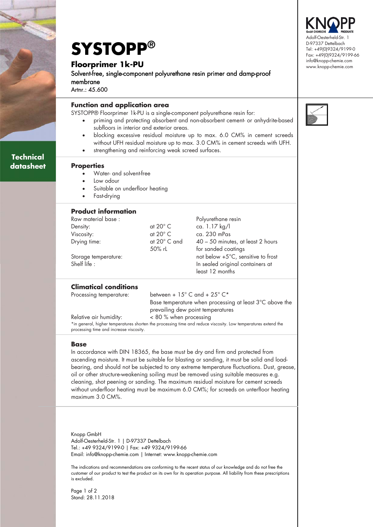

# **Technical datasheet**

**SYSTOPP® Floorprimer 1k-PU** 

Solvent-free, single-component polyurethane resin primer and damp-proof membrane

Artnr.: 45.600

l

## **Function and application area**

SYSTOPP® Floorprimer 1k-PU is a single-component polyurethane resin for:

- priming and protecting absorbent and non-absorbent cement- or anhydrite-based subfloors in interior and exterior areas.
- blocking excessive residual moisture up to max. 6.0 CM% in cement screeds without UFH residual moisture up to max. 3.0 CM% in cement screeds with UFH.
- strengthening and reinforcing weak screed surfaces.

#### **Properties**

- Water- and solvent-free
- Low odour
- Suitable on underfloor heating
- Fast-drying

## **Product information**

| Raw material base :  |                       | Polyurethane resin                           |
|----------------------|-----------------------|----------------------------------------------|
| Density:             | at $20^{\circ}$ C     | ca. 1.17 kg/l                                |
| Viscosity:           | at $20^{\circ}$ C     | ca. 230 mPas                                 |
| Drying time:         | at $20^{\circ}$ C and | 40 – 50 minutes, at least 2 hours            |
|                      | 50% rL                | for sanded coatings                          |
| Storage temperature: |                       | not below $+5^{\circ}$ C, sensitive to frost |
| Shelf life :         |                       | In sealed original containers at             |
|                      |                       | least 12 months                              |

## **Climatical conditions**

Processing temperature: between +  $15^{\circ}$  C and +  $25^{\circ}$  C\*

 Base temperature when processing at least 3°C above the prevailing dew point temperatures

Relative air humidity: < 80 % when processing \*in general, higher temperatures shorten the processing time and reduce viscosity. Low temperatures extend the processing time and increase viscosity.

### **Base**

In accordance with DIN 18365, the base must be dry and firm and protected from ascending moisture. It must be suitable for blasting or sanding, it must be solid and loadbearing, and should not be subjected to any extreme temperature fluctuations. Dust, grease, oil or other structure-weakening soiling must be removed using suitable measures e.g. cleaning, shot peening or sanding. The maximum residual moisture for cement screeds without underfloor heating must be maximum 6.0 CM%; for screeds on unterfloor heating maximum 3.0 CM%.

Knopp GmbH Adolf-Oesterheld-Str. 1 | D-97337 Dettelbach Tel.: +49 9324/9199-0 | Fax: +49 9324/9199-66 Email: info@knopp-chemie.com | Internet: www.knopp-chemie.com

The indications and recommendations are conforming to the recent status of our knowledge and do not free the customer of our product to test the product on its own for its operation purpose. All liability from these prescriptions is excluded.

Page 1 of 2 Stand: 28.11.2018

Adolf-Oesterheld-Str. 1 D-97337 Dettelbach Tel: +49(0)9324/9199-0 Fax: +49(0)9324/9199-66 info@knopp-chemie.com www.knopp-chemie.com